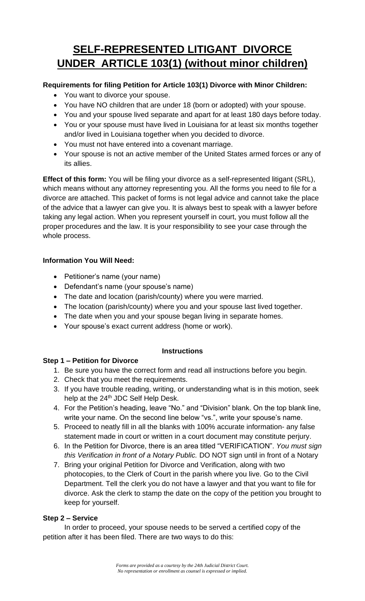# **SELF-REPRESENTED LITIGANT DIVORCE UNDER ARTICLE 103(1) (without minor children)**

## **Requirements for filing Petition for Article 103(1) Divorce with Minor Children:**

- You want to divorce your spouse.
- You have NO children that are under 18 (born or adopted) with your spouse.
- You and your spouse lived separate and apart for at least 180 days before today.
- You or your spouse must have lived in Louisiana for at least six months together and/or lived in Louisiana together when you decided to divorce.
- You must not have entered into a covenant marriage.
- Your spouse is not an active member of the United States armed forces or any of its allies.

**Effect of this form:** You will be filing your divorce as a self-represented litigant (SRL), which means without any attorney representing you. All the forms you need to file for a divorce are attached. This packet of forms is not legal advice and cannot take the place of the advice that a lawyer can give you. It is always best to speak with a lawyer before taking any legal action. When you represent yourself in court, you must follow all the proper procedures and the law. It is your responsibility to see your case through the whole process.

## **Information You Will Need:**

- Petitioner's name (your name)
- Defendant's name (your spouse's name)
- The date and location (parish/county) where you were married.
- The location (parish/county) where you and your spouse last lived together.
- The date when you and your spouse began living in separate homes.
- Your spouse's exact current address (home or work).

## **Instructions**

## **Step 1 – Petition for Divorce**

- 1. Be sure you have the correct form and read all instructions before you begin.
- 2. Check that you meet the requirements.
- 3. If you have trouble reading, writing, or understanding what is in this motion, seek help at the 24<sup>th</sup> JDC Self Help Desk.
- 4. For the Petition's heading, leave "No." and "Division" blank. On the top blank line, write your name. On the second line below "vs.", write your spouse's name.
- 5. Proceed to neatly fill in all the blanks with 100% accurate information- any false statement made in court or written in a court document may constitute perjury.
- 6. In the Petition for Divorce, there is an area titled "VERIFICATION". *You must sign this Verification in front of a Notary Public.* DO NOT sign until in front of a Notary
- 7. Bring your original Petition for Divorce and Verification, along with two photocopies, to the Clerk of Court in the parish where you live. Go to the Civil Department. Tell the clerk you do not have a lawyer and that you want to file for divorce. Ask the clerk to stamp the date on the copy of the petition you brought to keep for yourself.

## **Step 2 – Service**

In order to proceed, your spouse needs to be served a certified copy of the petition after it has been filed. There are two ways to do this: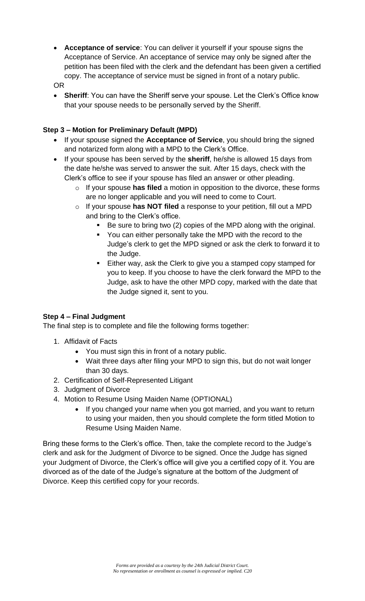• **Acceptance of service**: You can deliver it yourself if your spouse signs the Acceptance of Service. An acceptance of service may only be signed after the petition has been filed with the clerk and the defendant has been given a certified copy. The acceptance of service must be signed in front of a notary public.

OR

**Sheriff:** You can have the Sheriff serve your spouse. Let the Clerk's Office know that your spouse needs to be personally served by the Sheriff.

## **Step 3 – Motion for Preliminary Default (MPD)**

- If your spouse signed the **Acceptance of Service**, you should bring the signed and notarized form along with a MPD to the Clerk's Office.
- If your spouse has been served by the **sheriff**, he/she is allowed 15 days from the date he/she was served to answer the suit. After 15 days, check with the Clerk's office to see if your spouse has filed an answer or other pleading.
	- o If your spouse **has filed** a motion in opposition to the divorce, these forms are no longer applicable and you will need to come to Court.
	- o If your spouse **has NOT filed** a response to your petition, fill out a MPD and bring to the Clerk's office.
		- Be sure to bring two (2) copies of the MPD along with the original.
		- You can either personally take the MPD with the record to the Judge's clerk to get the MPD signed or ask the clerk to forward it to the Judge.
		- Either way, ask the Clerk to give you a stamped copy stamped for you to keep. If you choose to have the clerk forward the MPD to the Judge, ask to have the other MPD copy, marked with the date that the Judge signed it, sent to you.

## **Step 4 – Final Judgment**

The final step is to complete and file the following forms together:

- 1. Affidavit of Facts
	- You must sign this in front of a notary public.
	- Wait three days after filing your MPD to sign this, but do not wait longer than 30 days.
- 2. Certification of Self-Represented Litigant
- 3. Judgment of Divorce
- 4. Motion to Resume Using Maiden Name (OPTIONAL)
	- If you changed your name when you got married, and you want to return to using your maiden, then you should complete the form titled Motion to Resume Using Maiden Name.

Bring these forms to the Clerk's office. Then, take the complete record to the Judge's clerk and ask for the Judgment of Divorce to be signed. Once the Judge has signed your Judgment of Divorce, the Clerk's office will give you a certified copy of it. You are divorced as of the date of the Judge's signature at the bottom of the Judgment of Divorce. Keep this certified copy for your records.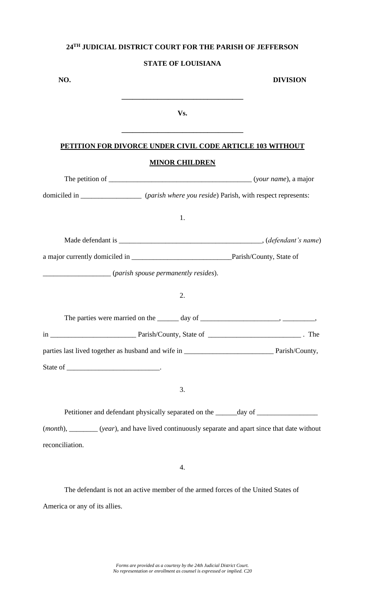## **STATE OF LOUISIANA**

| NO.                                                                                             |                       | <b>DIVISION</b>                                                                  |
|-------------------------------------------------------------------------------------------------|-----------------------|----------------------------------------------------------------------------------|
|                                                                                                 | Vs.                   |                                                                                  |
| PETITION FOR DIVORCE UNDER CIVIL CODE ARTICLE 103 WITHOUT                                       |                       |                                                                                  |
|                                                                                                 | <b>MINOR CHILDREN</b> |                                                                                  |
|                                                                                                 |                       |                                                                                  |
| domiciled in __________________ (parish where you reside) Parish, with respect represents:      |                       |                                                                                  |
|                                                                                                 | 1.                    |                                                                                  |
|                                                                                                 |                       |                                                                                  |
|                                                                                                 |                       |                                                                                  |
| (parish spouse permanently resides).                                                            |                       |                                                                                  |
|                                                                                                 | 2.                    |                                                                                  |
|                                                                                                 |                       |                                                                                  |
|                                                                                                 |                       |                                                                                  |
|                                                                                                 |                       |                                                                                  |
|                                                                                                 |                       |                                                                                  |
|                                                                                                 | 3.                    |                                                                                  |
|                                                                                                 |                       | Petitioner and defendant physically separated on the ______ day of _____________ |
| (month), _______ (year), and have lived continuously separate and apart since that date without |                       |                                                                                  |
| reconciliation.                                                                                 |                       |                                                                                  |
|                                                                                                 | 4.                    |                                                                                  |

The defendant is not an active member of the armed forces of the United States of America or any of its allies.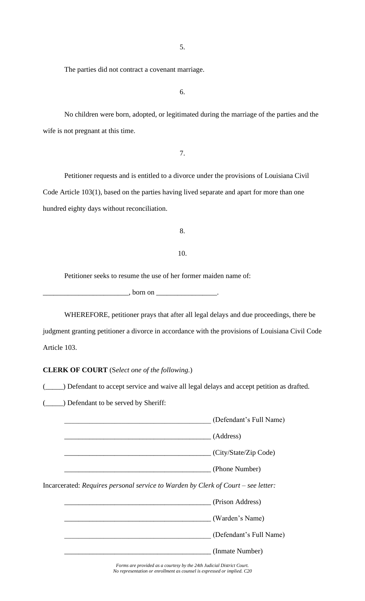5.

The parties did not contract a covenant marriage.

6.

No children were born, adopted, or legitimated during the marriage of the parties and the wife is not pregnant at this time.

7.

Petitioner requests and is entitled to a divorce under the provisions of Louisiana Civil Code Article 103(1), based on the parties having lived separate and apart for more than one hundred eighty days without reconciliation.

8.

## 10.

Petitioner seeks to resume the use of her former maiden name of:

 $\Box$ , born on  $\Box$ 

WHEREFORE, petitioner prays that after all legal delays and due proceedings, there be judgment granting petitioner a divorce in accordance with the provisions of Louisiana Civil Code Article 103.

## **CLERK OF COURT** (S*elect one of the following.*)

(\_\_\_\_\_) Defendant to accept service and waive all legal delays and accept petition as drafted.

(\_\_\_\_\_) Defendant to be served by Sheriff:

|                                                                                   | (Defendant's Full Name) |
|-----------------------------------------------------------------------------------|-------------------------|
|                                                                                   | (Address)               |
|                                                                                   | (City/State/Zip Code)   |
|                                                                                   | (Phone Number)          |
| Incarcerated: Requires personal service to Warden by Clerk of Court – see letter: |                         |
|                                                                                   | (Prison Address)        |
|                                                                                   | (Warden's Name)         |
|                                                                                   | (Defendant's Full Name) |
|                                                                                   | (Inmate Number)         |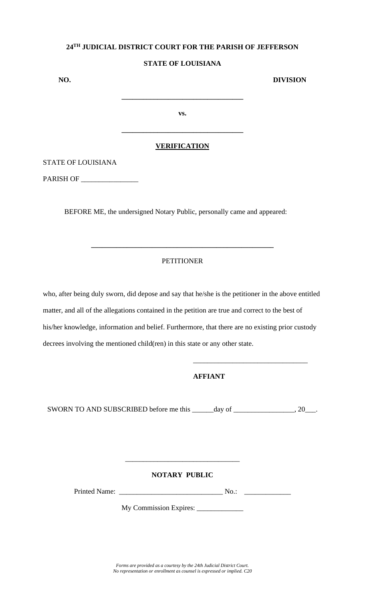## **STATE OF LOUISIANA**

| NO.                         |                     | <b>DIVISION</b> |
|-----------------------------|---------------------|-----------------|
|                             |                     |                 |
|                             | VS.                 |                 |
|                             |                     |                 |
| . —— <u>- - - - - - - -</u> | <b>VERIFICATION</b> |                 |

## STATE OF LOUISIANA

PARISH OF \_\_\_\_\_\_\_\_\_\_\_\_\_\_\_\_

BEFORE ME, the undersigned Notary Public, personally came and appeared:

## **PETITIONER**

**\_\_\_\_\_\_\_\_\_\_\_\_\_\_\_\_\_\_\_\_\_\_\_\_\_\_\_\_\_\_\_\_\_\_\_\_\_\_\_\_\_\_\_\_\_\_\_\_\_\_\_**

who, after being duly sworn, did depose and say that he/she is the petitioner in the above entitled matter, and all of the allegations contained in the petition are true and correct to the best of his/her knowledge, information and belief. Furthermore, that there are no existing prior custody decrees involving the mentioned child(ren) in this state or any other state.

## **AFFIANT**

\_\_\_\_\_\_\_\_\_\_\_\_\_\_\_\_\_\_\_\_\_\_\_\_\_\_\_\_\_\_\_\_

SWORN TO AND SUBSCRIBED before me this \_\_\_\_\_day of \_\_\_\_\_\_\_\_\_\_\_\_\_, 20\_\_\_.

## **NOTARY PUBLIC**

\_\_\_\_\_\_\_\_\_\_\_\_\_\_\_\_\_\_\_\_\_\_\_\_\_\_\_\_\_\_\_\_

Printed Name: \_\_\_\_\_\_\_\_\_\_\_\_\_\_\_\_\_\_\_\_\_\_\_\_\_\_\_\_\_ No.: \_\_\_\_\_\_\_\_\_\_\_\_\_

My Commission Expires: \_\_\_\_\_\_\_\_\_\_\_\_\_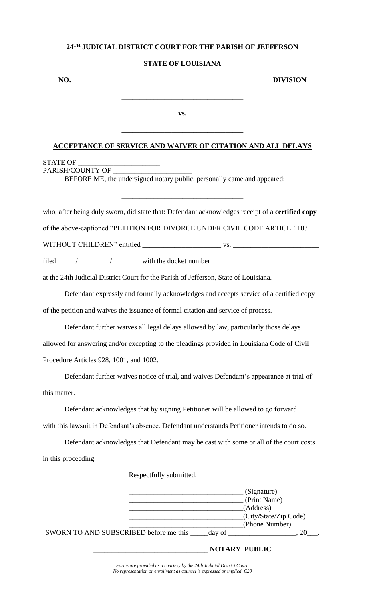## **STATE OF LOUISIANA**

**NO. DIVISION** 

**vs.**

**\_\_\_\_\_\_\_\_\_\_\_\_\_\_\_\_\_\_\_\_\_\_\_\_\_\_\_\_\_\_\_\_\_\_**

**\_\_\_\_\_\_\_\_\_\_\_\_\_\_\_\_\_\_\_\_\_\_\_\_\_\_\_\_\_\_\_\_\_\_**

### **ACCEPTANCE OF SERVICE AND WAIVER OF CITATION AND ALL DELAYS**

### STATE OF \_\_\_\_\_\_\_\_\_\_\_\_\_\_\_\_\_\_\_\_\_\_\_ PARISH/COUNTY OF

BEFORE ME, the undersigned notary public, personally came and appeared:

who, after being duly sworn, did state that: Defendant acknowledges receipt of a **certified copy**

**\_\_\_\_\_\_\_\_\_\_\_\_\_\_\_\_\_\_\_\_\_\_\_\_\_\_\_\_\_\_\_\_\_\_**

of the above-captioned "PETITION FOR DIVORCE UNDER CIVIL CODE ARTICLE 103

WITHOUT CHILDREN" entitled **\_\_\_\_\_\_\_\_\_\_\_\_\_\_\_\_\_\_\_\_\_\_** vs. **\_\_\_\_\_\_\_\_\_\_\_\_\_\_\_\_\_\_\_\_\_\_\_\_**

filed \_\_\_\_\_/\_\_\_\_\_\_\_\_\_/\_\_\_\_\_\_\_\_ with the docket number \_\_\_\_\_\_\_\_\_\_\_\_\_\_\_\_\_\_\_\_\_\_\_\_\_\_\_\_\_

at the 24th Judicial District Court for the Parish of Jefferson, State of Louisiana.

Defendant expressly and formally acknowledges and accepts service of a certified copy of the petition and waives the issuance of formal citation and service of process.

Defendant further waives all legal delays allowed by law, particularly those delays allowed for answering and/or excepting to the pleadings provided in Louisiana Code of Civil Procedure Articles 928, 1001, and 1002.

Defendant further waives notice of trial, and waives Defendant's appearance at trial of this matter.

Defendant acknowledges that by signing Petitioner will be allowed to go forward with this lawsuit in Defendant's absence. Defendant understands Petitioner intends to do so.

Defendant acknowledges that Defendant may be cast with some or all of the court costs in this proceeding.

Respectfully submitted,

|                                        |        | (Signature)<br>(Print Name)             |
|----------------------------------------|--------|-----------------------------------------|
|                                        |        | (Address)                               |
|                                        |        | (City/State/Zip Code)<br>(Phone Number) |
| SWORN TO AND SUBSCRIBED before me this | day of |                                         |

\_\_\_\_\_\_\_\_\_\_\_\_\_\_\_\_\_\_\_\_\_\_\_\_\_\_\_\_\_\_\_\_ **NOTARY PUBLIC**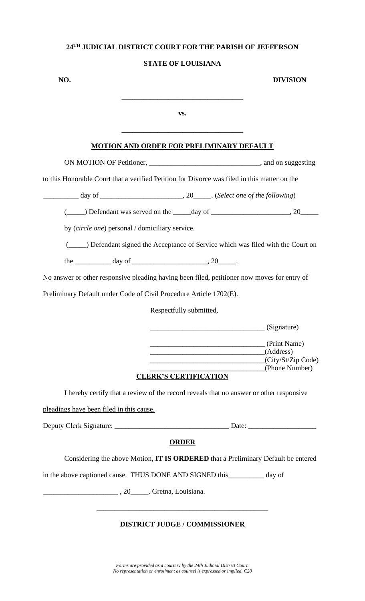## **STATE OF LOUISIANA**

| NO.                                                                                          |                                                 | <b>DIVISION</b>                                                                       |
|----------------------------------------------------------------------------------------------|-------------------------------------------------|---------------------------------------------------------------------------------------|
|                                                                                              | VS.                                             |                                                                                       |
|                                                                                              | <b>MOTION AND ORDER FOR PRELIMINARY DEFAULT</b> |                                                                                       |
|                                                                                              |                                                 |                                                                                       |
| to this Honorable Court that a verified Petition for Divorce was filed in this matter on the |                                                 |                                                                                       |
|                                                                                              |                                                 |                                                                                       |
|                                                                                              |                                                 | ( $\qquad$ ) Defendant was served on the $\qquad$ day of $\qquad$ , 20                |
| by (circle one) personal / domiciliary service.                                              |                                                 |                                                                                       |
|                                                                                              |                                                 | (______) Defendant signed the Acceptance of Service which was filed with the Court on |
| the $\frac{1}{2}$ day of $\frac{1}{2}$ day of $\frac{1}{2}$ .                                |                                                 |                                                                                       |
| No answer or other responsive pleading having been filed, petitioner now moves for entry of  |                                                 |                                                                                       |
| Preliminary Default under Code of Civil Procedure Article 1702(E).                           |                                                 |                                                                                       |
|                                                                                              | Respectfully submitted,                         |                                                                                       |
|                                                                                              |                                                 | $\sqrt{Signature}$                                                                    |
|                                                                                              | (Address)                                       | (Print Name)<br>(City/St/Zip Code)                                                    |
|                                                                                              | <b>CLERK'S CERTIFICATION</b>                    | (Phone Number)                                                                        |
| I hereby certify that a review of the record reveals that no answer or other responsive      |                                                 |                                                                                       |
| pleadings have been filed in this cause.                                                     |                                                 |                                                                                       |
|                                                                                              |                                                 |                                                                                       |
|                                                                                              | <b>ORDER</b>                                    |                                                                                       |
|                                                                                              |                                                 | Considering the above Motion, IT IS ORDERED that a Preliminary Default be entered     |
| in the above captioned cause. THUS DONE AND SIGNED this ___________ day of                   |                                                 |                                                                                       |
| $\frac{1}{20}$ , 20 Cretna, Louisiana.                                                       |                                                 |                                                                                       |
|                                                                                              | <b>DISTRICT JUDGE / COMMISSIONER</b>            |                                                                                       |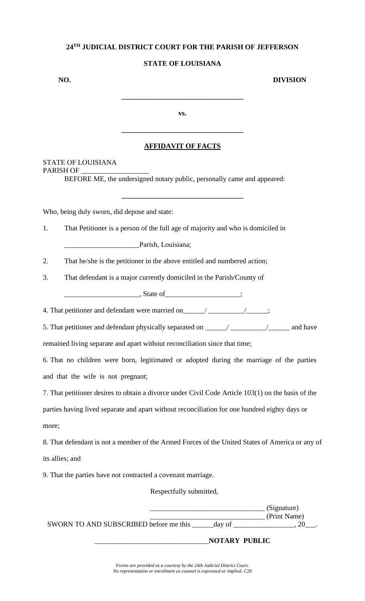## **STATE OF LOUISIANA**

**NO. DIVISION** 

**vs.**

**\_\_\_\_\_\_\_\_\_\_\_\_\_\_\_\_\_\_\_\_\_\_\_\_\_\_\_\_\_\_\_\_\_\_**

## **AFFIDAVIT OF FACTS**

**\_\_\_\_\_\_\_\_\_\_\_\_\_\_\_\_\_\_\_\_\_\_\_\_\_\_\_\_\_\_\_\_\_\_**

**\_\_\_\_\_\_\_\_\_\_\_\_\_\_\_\_\_\_\_\_\_\_\_\_\_\_\_\_\_\_\_\_\_\_**

## STATE OF LOUISIANA PARISH OF

BEFORE ME, the undersigned notary public, personally came and appeared:

Who, being duly sworn, did depose and state:

1. That Petitioner is a person of the full age of majority and who is domiciled in

Parish, Louisiana;

- 2. That he/she is the petitioner in the above entitled and numbered action;
- 3. That defendant is a major currently domiciled in the Parish/County of

 $\blacksquare$ , State of  $\blacksquare$ 

4. That petitioner and defendant were married on\_\_\_\_\_\_\_/\_\_\_\_\_\_\_\_\_\_\_\_\_\_\_;

5. That petitioner and defendant physically separated on \_\_\_\_\_\_/ \_\_\_\_\_\_\_\_\_\_\_/ \_\_\_\_\_\_\_ and have

remained living separate and apart without reconciliation since that time;

6. That no children were born, legitimated or adopted during the marriage of the parties and that the wife is not pregnant;

7. That petitioner desires to obtain a divorce under Civil Code Article 103(1) on the basis of the

parties having lived separate and apart without reconciliation for one hundred eighty days or more;

8. That defendant is not a member of the Armed Forces of the United States of America or any of its allies; and

9. That the parties have not contracted a covenant marriage.

Respectfully submitted,

|                                        | (Signature)            |  |
|----------------------------------------|------------------------|--|
| SWORN TO AND SUBSCRIBED before me this | (Print Name)<br>day of |  |

\_\_\_\_\_\_\_\_\_\_\_\_\_\_\_\_\_\_\_\_\_\_\_\_\_\_\_\_\_\_\_\_**NOTARY PUBLIC**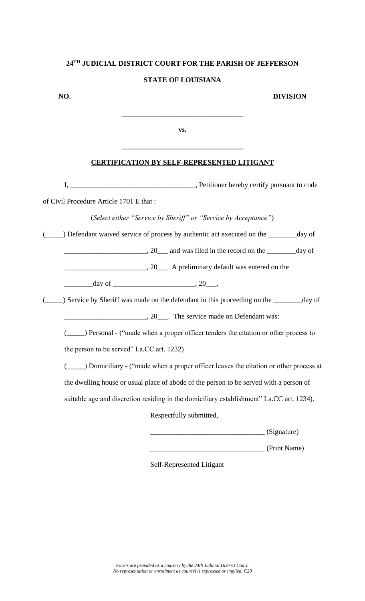# **24TH JUDICIAL DISTRICT COURT FOR THE PARISH OF JEFFERSON STATE OF LOUISIANA**

**NO. DIVISION** 

\_\_\_\_\_\_\_\_\_\_\_\_\_\_\_\_\_\_\_\_\_\_\_\_\_\_\_\_\_\_\_\_ (Print Name)

**vs.**

**\_\_\_\_\_\_\_\_\_\_\_\_\_\_\_\_\_\_\_\_\_\_\_\_\_\_\_\_\_\_\_\_\_\_**

**\_\_\_\_\_\_\_\_\_\_\_\_\_\_\_\_\_\_\_\_\_\_\_\_\_\_\_\_\_\_\_\_\_\_**

## **CERTIFICATION BY SELF-REPRESENTED LITIGANT**

| The Petitioner hereby certify pursuant to code<br>The Petitioner hereby certify pursuant to code<br>$I, \_$ |
|-------------------------------------------------------------------------------------------------------------|
| of Civil Procedure Article 1701 E that:                                                                     |
| (Select either "Service by Sheriff" or "Service by Acceptance")                                             |
| Defendant waived service of process by authentic act executed on the _______ day of                         |
| $\frac{1}{20}$ and was filed in the record on the $\frac{1}{20}$ day of                                     |
| 20 A preliminary default was entered on the                                                                 |
|                                                                                                             |
| ) Service by Sheriff was made on the defendant in this proceeding on the ________ day of                    |
| 20 The service made on Defendant was:                                                                       |
| (______) Personal - ("made when a proper officer tenders the citation or other process to                   |
| the person to be served" La.CC art. 1232)                                                                   |
| (______) Domiciliary - ("made when a proper officer leaves the citation or other process at                 |
| the dwelling house or usual place of abode of the person to be served with a person of                      |
| suitable age and discretion residing in the domiciliary establishment" La.CC art. 1234).                    |
| Respectfully submitted,                                                                                     |
| $\angle$ (Signature)                                                                                        |

Self-Represented Litigant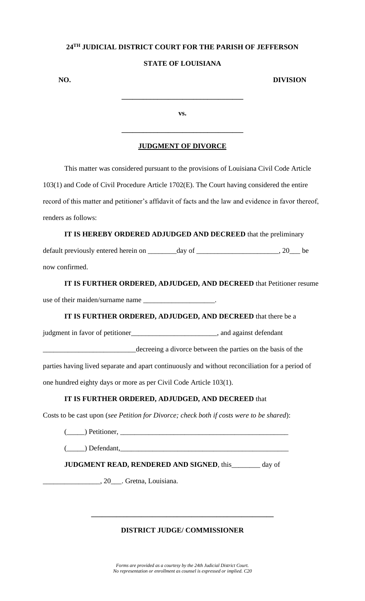## **STATE OF LOUISIANA**

**NO. DIVISION** 

**vs.**

**\_\_\_\_\_\_\_\_\_\_\_\_\_\_\_\_\_\_\_\_\_\_\_\_\_\_\_\_\_\_\_\_\_\_**

## **JUDGMENT OF DIVORCE**

**\_\_\_\_\_\_\_\_\_\_\_\_\_\_\_\_\_\_\_\_\_\_\_\_\_\_\_\_\_\_\_\_\_\_**

This matter was considered pursuant to the provisions of Louisiana Civil Code Article 103(1) and Code of Civil Procedure Article 1702(E). The Court having considered the entire record of this matter and petitioner's affidavit of facts and the law and evidence in favor thereof, renders as follows:

**IT IS HEREBY ORDERED ADJUDGED AND DECREED** that the preliminary default previously entered herein on \_\_\_\_\_\_\_day of \_\_\_\_\_\_\_\_\_\_\_\_\_\_\_\_\_\_\_, 20\_\_\_ be now confirmed.

**IT IS FURTHER ORDERED, ADJUDGED, AND DECREED** that Petitioner resume use of their maiden/surname name \_\_\_\_\_\_\_\_\_\_\_\_\_\_\_\_\_\_\_\_.

**IT IS FURTHER ORDERED, ADJUDGED, AND DECREED** that there be a

judgment in favor of petitioner\_\_\_\_\_\_\_\_\_\_\_\_\_\_\_\_\_\_\_\_\_\_\_\_, and against defendant

\_\_\_\_\_\_\_\_\_\_\_\_\_\_\_\_\_\_\_\_\_\_\_\_\_\_decreeing a divorce between the parties on the basis of the

parties having lived separate and apart continuously and without reconciliation for a period of

one hundred eighty days or more as per Civil Code Article 103(1).

## **IT IS FURTHER ORDERED, ADJUDGED, AND DECREED** that

Costs to be cast upon (*see Petition for Divorce; check both if costs were to be shared*):

(\_\_\_\_\_) Petitioner, \_\_\_\_\_\_\_\_\_\_\_\_\_\_\_\_\_\_\_\_\_\_\_\_\_\_\_\_\_\_\_\_\_\_\_\_\_\_\_\_\_\_\_\_\_\_\_

 $(\_\_\_\)$  Defendant,

**JUDGMENT READ, RENDERED AND SIGNED**, this day of

\_\_\_\_\_\_\_\_\_\_\_\_\_\_\_\_, 20\_\_\_. Gretna, Louisiana.

## **DISTRICT JUDGE/ COMMISSIONER**

**\_\_\_\_\_\_\_\_\_\_\_\_\_\_\_\_\_\_\_\_\_\_\_\_\_\_\_\_\_\_\_\_\_\_\_\_\_\_\_\_\_\_\_\_\_\_\_\_\_\_\_**